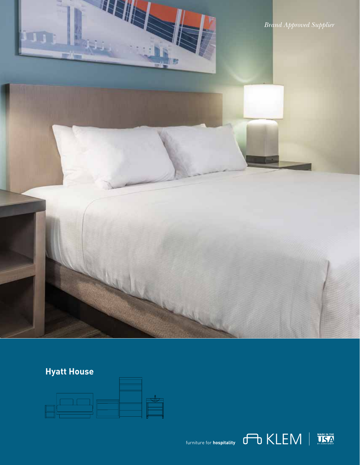*Brand Approved Supplier*

# **Hyatt House**

**THE INSER**